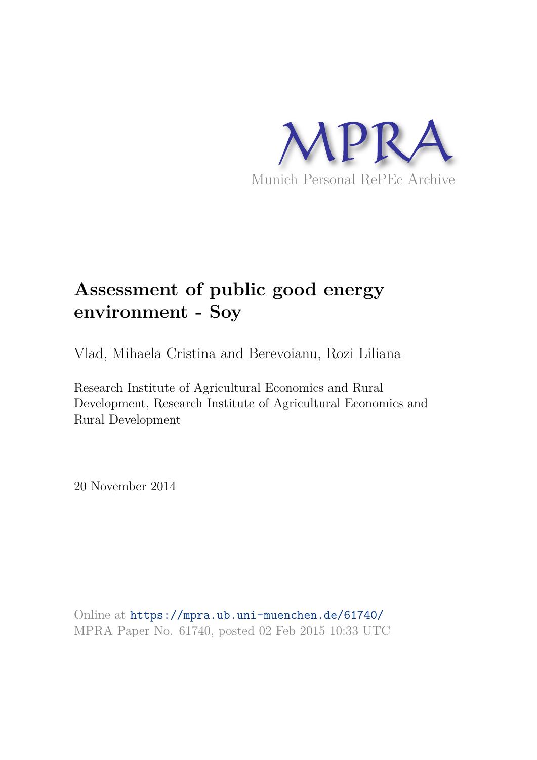

# **Assessment of public good energy environment - Soy**

Vlad, Mihaela Cristina and Berevoianu, Rozi Liliana

Research Institute of Agricultural Economics and Rural Development, Research Institute of Agricultural Economics and Rural Development

20 November 2014

Online at https://mpra.ub.uni-muenchen.de/61740/ MPRA Paper No. 61740, posted 02 Feb 2015 10:33 UTC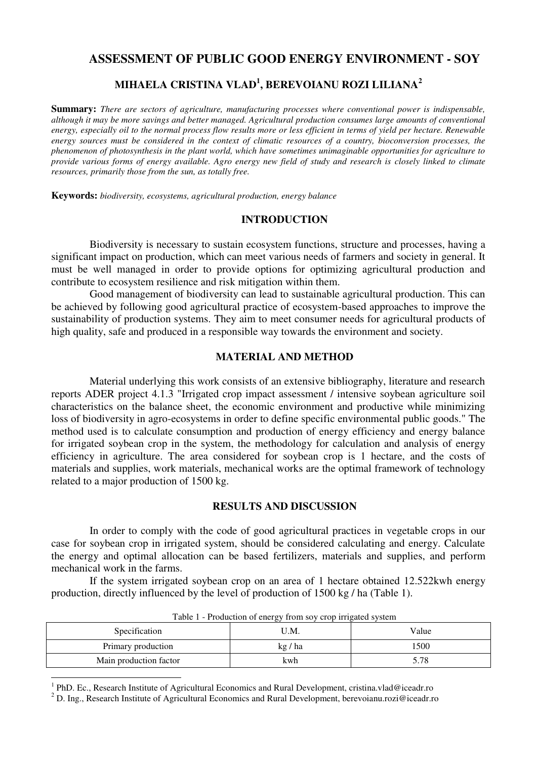## **ASSESSMENT OF PUBLIC GOOD ENERGY ENVIRONMENT - SOY**

# **MIHAELA CRISTINA VLAD<sup>1</sup> , BEREVOIANU ROZI LILIANA<sup>2</sup>**

**Summary:** *There are sectors of agriculture, manufacturing processes where conventional power is indispensable, although it may be more savings and better managed. Agricultural production consumes large amounts of conventional energy, especially oil to the normal process flow results more or less efficient in terms of yield per hectare. Renewable energy sources must be considered in the context of climatic resources of a country, bioconversion processes, the phenomenon of photosynthesis in the plant world, which have sometimes unimaginable opportunities for agriculture to provide various forms of energy available. Agro energy new field of study and research is closely linked to climate resources, primarily those from the sun, as totally free.* 

**Keywords:** *biodiversity, ecosystems, agricultural production, energy balance* 

#### **INTRODUCTION**

Biodiversity is necessary to sustain ecosystem functions, structure and processes, having a significant impact on production, which can meet various needs of farmers and society in general. It must be well managed in order to provide options for optimizing agricultural production and contribute to ecosystem resilience and risk mitigation within them.

Good management of biodiversity can lead to sustainable agricultural production. This can be achieved by following good agricultural practice of ecosystem-based approaches to improve the sustainability of production systems. They aim to meet consumer needs for agricultural products of high quality, safe and produced in a responsible way towards the environment and society.

## **MATERIAL AND METHOD**

Material underlying this work consists of an extensive bibliography, literature and research reports ADER project 4.1.3 "Irrigated crop impact assessment / intensive soybean agriculture soil characteristics on the balance sheet, the economic environment and productive while minimizing loss of biodiversity in agro-ecosystems in order to define specific environmental public goods." The method used is to calculate consumption and production of energy efficiency and energy balance for irrigated soybean crop in the system, the methodology for calculation and analysis of energy efficiency in agriculture. The area considered for soybean crop is 1 hectare, and the costs of materials and supplies, work materials, mechanical works are the optimal framework of technology related to a major production of 1500 kg.

## **RESULTS AND DISCUSSION**

In order to comply with the code of good agricultural practices in vegetable crops in our case for soybean crop in irrigated system, should be considered calculating and energy. Calculate the energy and optimal allocation can be based fertilizers, materials and supplies, and perform mechanical work in the farms.

If the system irrigated soybean crop on an area of 1 hectare obtained 12.522kwh energy production, directly influenced by the level of production of 1500 kg / ha (Table 1).

| Specification          | . .<br>U.M. | Value |
|------------------------|-------------|-------|
| Primary production     | kg / ha     | 1500  |
| Main production factor | kwh         | 5.78  |

Table 1 - Production of energy from soy crop irrigated system

 $\overline{a}$ 1 PhD. Ec., Research Institute of Agricultural Economics and Rural Development, cristina.vlad@iceadr.ro

<sup>2</sup> D. Ing., Research Institute of Agricultural Economics and Rural Development, berevoianu.rozi@iceadr.ro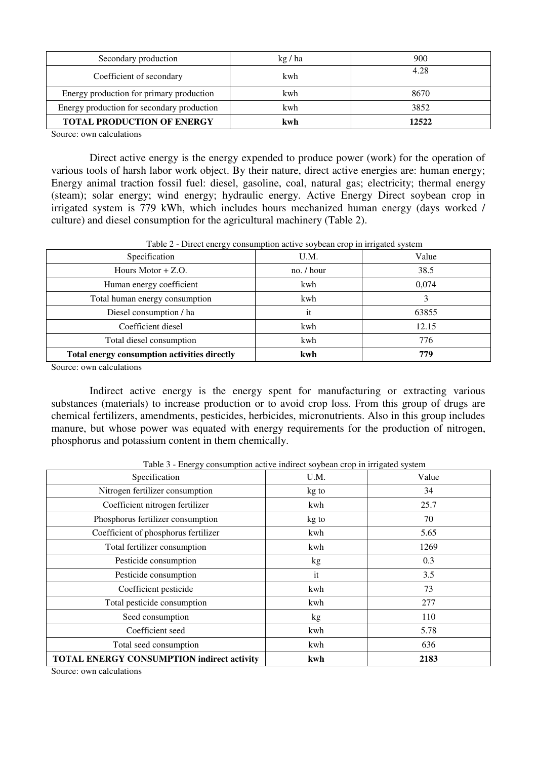| Secondary production                       | kg/ha | 900   |
|--------------------------------------------|-------|-------|
| Coefficient of secondary                   | kwh   | 4.28  |
| Energy production for primary production   | kwh   | 8670  |
| Energy production for secondary production | kwh   | 3852  |
| <b>TOTAL PRODUCTION OF ENERGY</b>          | kwh   | 12522 |

Source: own calculations

Direct active energy is the energy expended to produce power (work) for the operation of various tools of harsh labor work object. By their nature, direct active energies are: human energy; Energy animal traction fossil fuel: diesel, gasoline, coal, natural gas; electricity; thermal energy (steam); solar energy; wind energy; hydraulic energy. Active Energy Direct soybean crop in irrigated system is 779 kWh, which includes hours mechanized human energy (days worked / culture) and diesel consumption for the agricultural machinery (Table 2).

| Table 2 - Direct energy consumption active soybean crop in irrigated system |
|-----------------------------------------------------------------------------|
|-----------------------------------------------------------------------------|

| Specification                                | U.M.       | Value |
|----------------------------------------------|------------|-------|
| Hours Motor $+ Z0$ .                         | no. / hour | 38.5  |
| Human energy coefficient                     | kwh        | 0,074 |
| Total human energy consumption               | kwh        |       |
| Diesel consumption / ha                      | it         | 63855 |
| Coefficient diesel                           | kwh        | 12.15 |
| Total diesel consumption                     | kwh        | 776   |
| Total energy consumption activities directly | kwh        | 779   |

Source: own calculations

Indirect active energy is the energy spent for manufacturing or extracting various substances (materials) to increase production or to avoid crop loss. From this group of drugs are chemical fertilizers, amendments, pesticides, herbicides, micronutrients. Also in this group includes manure, but whose power was equated with energy requirements for the production of nitrogen, phosphorus and potassium content in them chemically.

| $\frac{1}{2}$<br>Specification                    | U.M.  | 500<br>Value |
|---------------------------------------------------|-------|--------------|
| Nitrogen fertilizer consumption                   | kg to | 34           |
| Coefficient nitrogen fertilizer                   | kwh   | 25.7         |
| Phosphorus fertilizer consumption                 | kg to | 70           |
| Coefficient of phosphorus fertilizer              | kwh   | 5.65         |
| Total fertilizer consumption                      | kwh   | 1269         |
| Pesticide consumption                             | kg    | 0.3          |
| Pesticide consumption                             | it    | 3.5          |
| Coefficient pesticide                             | kwh   | 73           |
| Total pesticide consumption                       | kwh   | 277          |
| Seed consumption                                  | kg    | 110          |
| Coefficient seed                                  | kwh   | 5.78         |
| Total seed consumption                            | kwh   | 636          |
| <b>TOTAL ENERGY CONSUMPTION indirect activity</b> | kwh   | 2183         |

Table 3 - Energy consumption active indirect soybean crop in irrigated system

Source: own calculations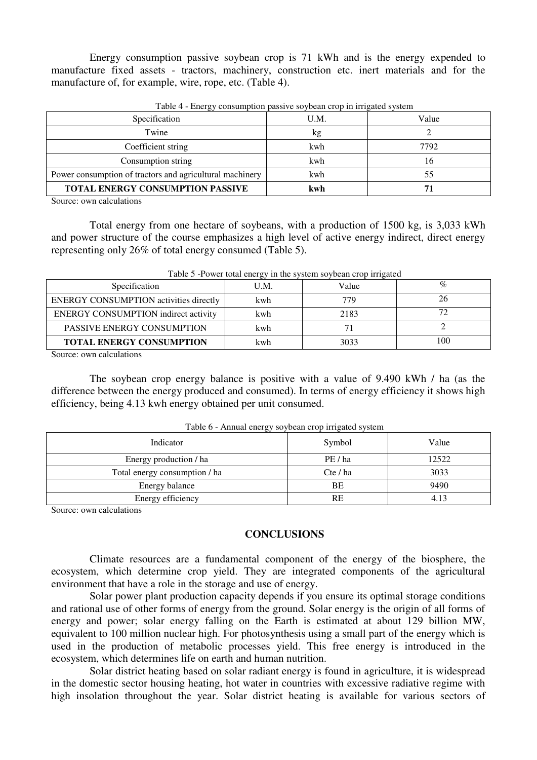Energy consumption passive soybean crop is 71 kWh and is the energy expended to manufacture fixed assets - tractors, machinery, construction etc. inert materials and for the manufacture of, for example, wire, rope, etc. (Table 4).

| $\tilde{}$                                               |      |       |
|----------------------------------------------------------|------|-------|
| Specification                                            | U.M. | Value |
| Twine                                                    | кg   |       |
| Coefficient string                                       | kwh  | 7792  |
| Consumption string                                       | kwh  | 16    |
| Power consumption of tractors and agricultural machinery | kwh  | 55    |
| TOTAL ENERGY CONSUMPTION PASSIVE                         | kwh  | 71    |

Table 4 - Energy consumption passive soybean crop in irrigated system

Source: own calculations

Total energy from one hectare of soybeans, with a production of 1500 kg, is 3,033 kWh and power structure of the course emphasizes a high level of active energy indirect, direct energy representing only 26% of total energy consumed (Table 5).

| ----- <i>-</i> - <i>--</i> -- <i>-----------</i> |      |       |     |
|--------------------------------------------------|------|-------|-----|
| Specification                                    | U.M. | Value |     |
| <b>ENERGY CONSUMPTION</b> activities directly    | kwh  | 779   | 26  |
| <b>ENERGY CONSUMPTION indirect activity</b>      | kwh  | 2183  |     |
| PASSIVE ENERGY CONSUMPTION                       | kwh  |       |     |
| <b>TOTAL ENERGY CONSUMPTION</b>                  | kwh  | 3033  | 100 |

Table 5 -Power total energy in the system soybean crop irrigated

Source: own calculations

The soybean crop energy balance is positive with a value of 9.490 kWh / ha (as the difference between the energy produced and consumed). In terms of energy efficiency it shows high efficiency, being 4.13 kwh energy obtained per unit consumed.

| $1.0018$ $\sigma$ $1.0018$ $\sigma$ $1.0018$ $\sigma$ $1.0018$ $\sigma$ $1.0018$ $\sigma$ $1.0018$ $\sigma$ |          |       |
|-------------------------------------------------------------------------------------------------------------|----------|-------|
| Indicator                                                                                                   | Symbol   | Value |
| Energy production / ha                                                                                      | PE / ha  | 12522 |
| Total energy consumption / ha                                                                               | Cte / ha | 3033  |
| Energy balance                                                                                              | BE       | 9490  |
| Energy efficiency                                                                                           | RE       | 4.13  |

Table 6 - Annual energy soybean crop irrigated system

Source: own calculations

### **CONCLUSIONS**

Climate resources are a fundamental component of the energy of the biosphere, the ecosystem, which determine crop yield. They are integrated components of the agricultural environment that have a role in the storage and use of energy.

Solar power plant production capacity depends if you ensure its optimal storage conditions and rational use of other forms of energy from the ground. Solar energy is the origin of all forms of energy and power; solar energy falling on the Earth is estimated at about 129 billion MW, equivalent to 100 million nuclear high. For photosynthesis using a small part of the energy which is used in the production of metabolic processes yield. This free energy is introduced in the ecosystem, which determines life on earth and human nutrition.

Solar district heating based on solar radiant energy is found in agriculture, it is widespread in the domestic sector housing heating, hot water in countries with excessive radiative regime with high insolation throughout the year. Solar district heating is available for various sectors of